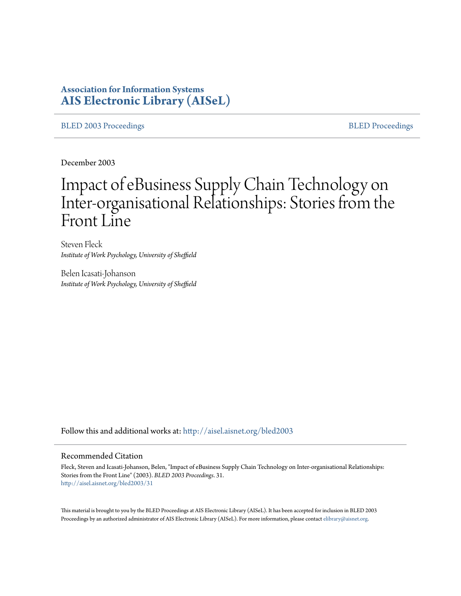# **Association for Information Systems [AIS Electronic Library \(AISeL\)](http://aisel.aisnet.org?utm_source=aisel.aisnet.org%2Fbled2003%2F31&utm_medium=PDF&utm_campaign=PDFCoverPages)**

[BLED 2003 Proceedings](http://aisel.aisnet.org/bled2003?utm_source=aisel.aisnet.org%2Fbled2003%2F31&utm_medium=PDF&utm_campaign=PDFCoverPages) and the state of the state of the [BLED Proceedings](http://aisel.aisnet.org/bled?utm_source=aisel.aisnet.org%2Fbled2003%2F31&utm_medium=PDF&utm_campaign=PDFCoverPages) and the BLED Proceedings and the BLED Proceedings and the BLED Proceedings and the BLED Proceedings and the BLED Proceedings and the BLED Proceedings

December 2003

# Impact of eBusiness Supply Chain Technology on Inter-organisational Relationships: Stories from the Front Line

Steven Fleck *Institute of Work Psychology, University of Sheffield*

Belen Icasati-Johanson *Institute of Work Psychology, University of Sheffield*

Follow this and additional works at: [http://aisel.aisnet.org/bled2003](http://aisel.aisnet.org/bled2003?utm_source=aisel.aisnet.org%2Fbled2003%2F31&utm_medium=PDF&utm_campaign=PDFCoverPages)

#### Recommended Citation

Fleck, Steven and Icasati-Johanson, Belen, "Impact of eBusiness Supply Chain Technology on Inter-organisational Relationships: Stories from the Front Line" (2003). *BLED 2003 Proceedings*. 31. [http://aisel.aisnet.org/bled2003/31](http://aisel.aisnet.org/bled2003/31?utm_source=aisel.aisnet.org%2Fbled2003%2F31&utm_medium=PDF&utm_campaign=PDFCoverPages)

This material is brought to you by the BLED Proceedings at AIS Electronic Library (AISeL). It has been accepted for inclusion in BLED 2003 Proceedings by an authorized administrator of AIS Electronic Library (AISeL). For more information, please contact [elibrary@aisnet.org](mailto:elibrary@aisnet.org%3E).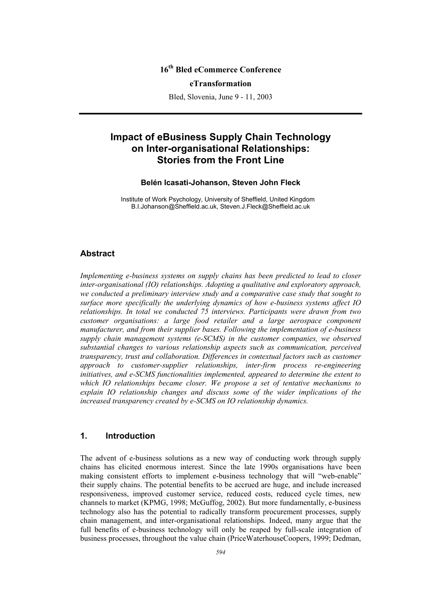# **16th Bled eCommerce Conference**

#### **eTransformation**

Bled, Slovenia, June 9 - 11, 2003

# **Impact of eBusiness Supply Chain Technology on Inter-organisational Relationships: Stories from the Front Line**

#### **Belén Icasati-Johanson, Steven John Fleck**

Institute of Work Psychology, University of Sheffield, United Kingdom B.I.Johanson@Sheffield.ac.uk, Steven.J.Fleck@Sheffield.ac.uk

## **Abstract**

*Implementing e-business systems on supply chains has been predicted to lead to closer inter-organisational (IO) relationships. Adopting a qualitative and exploratory approach, we conducted a preliminary interview study and a comparative case study that sought to surface more specifically the underlying dynamics of how e-business systems affect IO relationships. In total we conducted 75 interviews. Participants were drawn from two customer organisations: a large food retailer and a large aerospace component manufacturer, and from their supplier bases. Following the implementation of e-business supply chain management systems (e-SCMS) in the customer companies, we observed substantial changes to various relationship aspects such as communication, perceived transparency, trust and collaboration. Differences in contextual factors such as customer approach to customer-supplier relationships, inter-firm process re-engineering initiatives, and e-SCMS functionalities implemented, appeared to determine the extent to which IO relationships became closer. We propose a set of tentative mechanisms to explain IO relationship changes and discuss some of the wider implications of the increased transparency created by e-SCMS on IO relationship dynamics.* 

## **1. Introduction**

The advent of e-business solutions as a new way of conducting work through supply chains has elicited enormous interest. Since the late 1990s organisations have been making consistent efforts to implement e-business technology that will "web-enable" their supply chains. The potential benefits to be accrued are huge, and include increased responsiveness, improved customer service, reduced costs, reduced cycle times, new channels to market (KPMG, 1998; McGuffog, 2002). But more fundamentally, e-business technology also has the potential to radically transform procurement processes, supply chain management, and inter-organisational relationships. Indeed, many argue that the full benefits of e-business technology will only be reaped by full-scale integration of business processes, throughout the value chain (PriceWaterhouseCoopers, 1999; Dedman,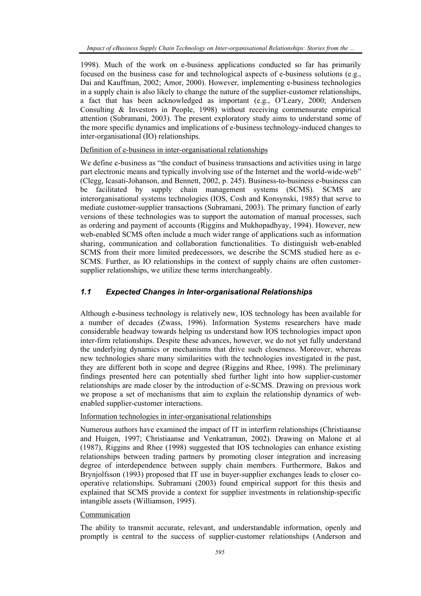1998). Much of the work on e-business applications conducted so far has primarily focused on the business case for and technological aspects of e-business solutions (e.g., Dai and Kauffman, 2002; Amor, 2000). However, implementing e-business technologies in a supply chain is also likely to change the nature of the supplier-customer relationships, a fact that has been acknowledged as important (e.g., O'Leary, 2000; Andersen Consulting & Investors in People, 1998) without receiving commensurate empirical attention (Subramani, 2003). The present exploratory study aims to understand some of the more specific dynamics and implications of e-business technology-induced changes to inter-organisational (IO) relationships.

#### Definition of e-business in inter-organisational relationships

We define e-business as "the conduct of business transactions and activities using in large part electronic means and typically involving use of the Internet and the world-wide-web" (Clegg, Icasati-Johanson, and Bennett, 2002, p. 245). Business-to-business e-business can be facilitated by supply chain management systems (SCMS). SCMS are interorganisational systems technologies (IOS, Cosh and Konsynski, 1985) that serve to mediate customer-supplier transactions (Subramani, 2003). The primary function of early versions of these technologies was to support the automation of manual processes, such as ordering and payment of accounts (Riggins and Mukhopadhyay, 1994). However, new web-enabled SCMS often include a much wider range of applications such as information sharing, communication and collaboration functionalities. To distinguish web-enabled SCMS from their more limited predecessors, we describe the SCMS studied here as e-SCMS. Further, as IO relationships in the context of supply chains are often customersupplier relationships, we utilize these terms interchangeably.

## *1.1 Expected Changes in Inter-organisational Relationships*

Although e-business technology is relatively new, IOS technology has been available for a number of decades (Zwass, 1996). Information Systems researchers have made considerable headway towards helping us understand how IOS technologies impact upon inter-firm relationships. Despite these advances, however, we do not yet fully understand the underlying dynamics or mechanisms that drive such closeness. Moreover, whereas new technologies share many similarities with the technologies investigated in the past, they are different both in scope and degree (Riggins and Rhee, 1998). The preliminary findings presented here can potentially shed further light into how supplier-customer relationships are made closer by the introduction of e-SCMS. Drawing on previous work we propose a set of mechanisms that aim to explain the relationship dynamics of webenabled supplier-customer interactions.

## Information technologies in inter-organisational relationships

Numerous authors have examined the impact of IT in interfirm relationships (Christiaanse and Huigen, 1997; Christiaanse and Venkatraman, 2002). Drawing on Malone et al (1987), Riggins and Rhee (1998) suggested that IOS technologies can enhance existing relationships between trading partners by promoting closer integration and increasing degree of interdependence between supply chain members. Furthermore, Bakos and Brynjolfsson (1993) proposed that IT use in buyer-supplier exchanges leads to closer cooperative relationships. Subramani (2003) found empirical support for this thesis and explained that SCMS provide a context for supplier investments in relationship-specific intangible assets (Williamson, 1995).

## Communication

The ability to transmit accurate, relevant, and understandable information, openly and promptly is central to the success of supplier-customer relationships (Anderson and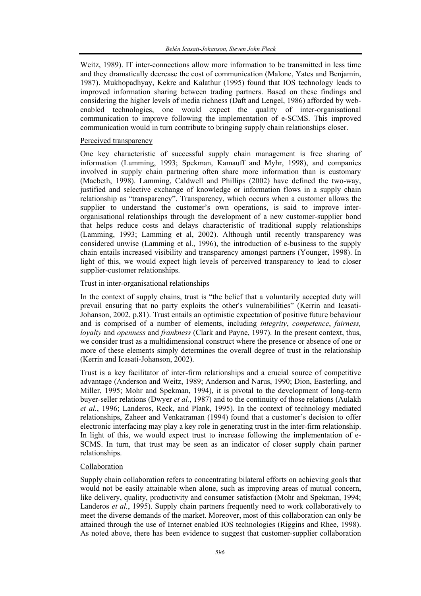Weitz, 1989). IT inter-connections allow more information to be transmitted in less time and they dramatically decrease the cost of communication (Malone, Yates and Benjamin, 1987). Mukhopadhyay, Kekre and Kalathur (1995) found that IOS technology leads to improved information sharing between trading partners. Based on these findings and considering the higher levels of media richness (Daft and Lengel, 1986) afforded by webenabled technologies, one would expect the quality of inter-organisational communication to improve following the implementation of e-SCMS. This improved communication would in turn contribute to bringing supply chain relationships closer.

#### Perceived transparency

One key characteristic of successful supply chain management is free sharing of information (Lamming, 1993; Spekman, Kamauff and Myhr, 1998), and companies involved in supply chain partnering often share more information than is customary (Macbeth, 1998). Lamming, Caldwell and Phillips (2002) have defined the two-way, justified and selective exchange of knowledge or information flows in a supply chain relationship as "transparency". Transparency, which occurs when a customer allows the supplier to understand the customer's own operations, is said to improve interorganisational relationships through the development of a new customer-supplier bond that helps reduce costs and delays characteristic of traditional supply relationships (Lamming, 1993; Lamming et al, 2002). Although until recently transparency was considered unwise (Lamming et al., 1996), the introduction of e-business to the supply chain entails increased visibility and transparency amongst partners (Younger, 1998). In light of this, we would expect high levels of perceived transparency to lead to closer supplier-customer relationships.

#### Trust in inter-organisational relationships

In the context of supply chains, trust is "the belief that a voluntarily accepted duty will prevail ensuring that no party exploits the other's vulnerabilities" (Kerrin and Icasati-Johanson, 2002, p.81). Trust entails an optimistic expectation of positive future behaviour and is comprised of a number of elements, including *integrity*, *competence*, *fairness, loyalty* and *openness* and *frankness* (Clark and Payne, 1997). In the present context, thus, we consider trust as a multidimensional construct where the presence or absence of one or more of these elements simply determines the overall degree of trust in the relationship (Kerrin and Icasati-Johanson, 2002).

Trust is a key facilitator of inter-firm relationships and a crucial source of competitive advantage (Anderson and Weitz, 1989; Anderson and Narus, 1990; Dion, Easterling, and Miller, 1995; Mohr and Spekman, 1994), it is pivotal to the development of long-term buyer-seller relations (Dwyer *et al.*, 1987) and to the continuity of those relations (Aulakh *et al.*, 1996; Landeros, Reck, and Plank, 1995). In the context of technology mediated relationships, Zaheer and Venkatraman (1994) found that a customer's decision to offer electronic interfacing may play a key role in generating trust in the inter-firm relationship. In light of this, we would expect trust to increase following the implementation of e-SCMS. In turn, that trust may be seen as an indicator of closer supply chain partner relationships.

## Collaboration

Supply chain collaboration refers to concentrating bilateral efforts on achieving goals that would not be easily attainable when alone, such as improving areas of mutual concern, like delivery, quality, productivity and consumer satisfaction (Mohr and Spekman, 1994; Landeros *et al.*, 1995). Supply chain partners frequently need to work collaboratively to meet the diverse demands of the market. Moreover, most of this collaboration can only be attained through the use of Internet enabled IOS technologies (Riggins and Rhee, 1998). As noted above, there has been evidence to suggest that customer-supplier collaboration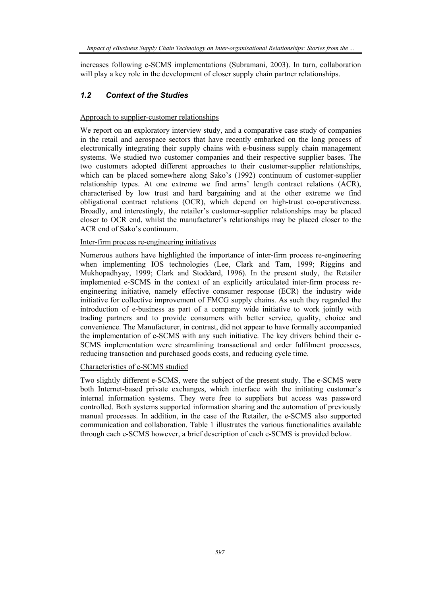increases following e-SCMS implementations (Subramani, 2003). In turn, collaboration will play a key role in the development of closer supply chain partner relationships.

## *1.2 Context of the Studies*

## Approach to supplier-customer relationships

We report on an exploratory interview study, and a comparative case study of companies in the retail and aerospace sectors that have recently embarked on the long process of electronically integrating their supply chains with e-business supply chain management systems. We studied two customer companies and their respective supplier bases. The two customers adopted different approaches to their customer-supplier relationships, which can be placed somewhere along Sako's (1992) continuum of customer-supplier relationship types. At one extreme we find arms' length contract relations (ACR), characterised by low trust and hard bargaining and at the other extreme we find obligational contract relations (OCR), which depend on high-trust co-operativeness. Broadly, and interestingly, the retailer's customer-supplier relationships may be placed closer to OCR end, whilst the manufacturer's relationships may be placed closer to the ACR end of Sako's continuum.

## Inter-firm process re-engineering initiatives

Numerous authors have highlighted the importance of inter-firm process re-engineering when implementing IOS technologies (Lee, Clark and Tam, 1999; Riggins and Mukhopadhyay, 1999; Clark and Stoddard, 1996). In the present study, the Retailer implemented e-SCMS in the context of an explicitly articulated inter-firm process reengineering initiative, namely effective consumer response (ECR) the industry wide initiative for collective improvement of FMCG supply chains. As such they regarded the introduction of e-business as part of a company wide initiative to work jointly with trading partners and to provide consumers with better service, quality, choice and convenience. The Manufacturer, in contrast, did not appear to have formally accompanied the implementation of e-SCMS with any such initiative. The key drivers behind their e-SCMS implementation were streamlining transactional and order fulfilment processes, reducing transaction and purchased goods costs, and reducing cycle time.

## Characteristics of e-SCMS studied

Two slightly different e-SCMS, were the subject of the present study. The e-SCMS were both Internet-based private exchanges, which interface with the initiating customer's internal information systems. They were free to suppliers but access was password controlled. Both systems supported information sharing and the automation of previously manual processes. In addition, in the case of the Retailer, the e-SCMS also supported communication and collaboration. Table 1 illustrates the various functionalities available through each e-SCMS however, a brief description of each e-SCMS is provided below.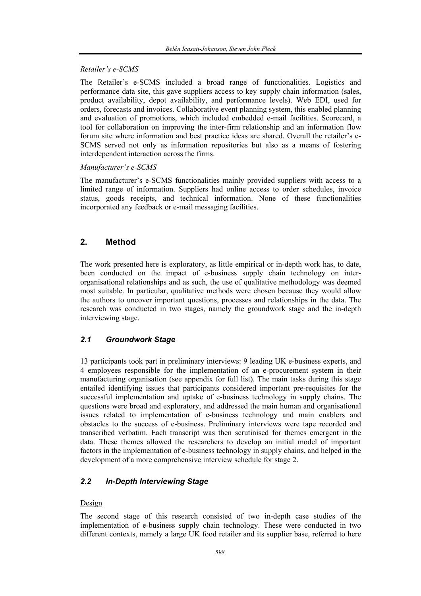## *Retailer's e-SCMS*

The Retailer's e-SCMS included a broad range of functionalities. Logistics and performance data site, this gave suppliers access to key supply chain information (sales, product availability, depot availability, and performance levels). Web EDI, used for orders, forecasts and invoices. Collaborative event planning system, this enabled planning and evaluation of promotions, which included embedded e-mail facilities. Scorecard, a tool for collaboration on improving the inter-firm relationship and an information flow forum site where information and best practice ideas are shared. Overall the retailer's e-SCMS served not only as information repositories but also as a means of fostering interdependent interaction across the firms.

## *Manufacturer's e-SCMS*

The manufacturer's e-SCMS functionalities mainly provided suppliers with access to a limited range of information. Suppliers had online access to order schedules, invoice status, goods receipts, and technical information. None of these functionalities incorporated any feedback or e-mail messaging facilities.

# **2. Method**

The work presented here is exploratory, as little empirical or in-depth work has, to date, been conducted on the impact of e-business supply chain technology on interorganisational relationships and as such, the use of qualitative methodology was deemed most suitable. In particular, qualitative methods were chosen because they would allow the authors to uncover important questions, processes and relationships in the data. The research was conducted in two stages, namely the groundwork stage and the in-depth interviewing stage.

# *2.1 Groundwork Stage*

13 participants took part in preliminary interviews: 9 leading UK e-business experts, and 4 employees responsible for the implementation of an e-procurement system in their manufacturing organisation (see appendix for full list). The main tasks during this stage entailed identifying issues that participants considered important pre-requisites for the successful implementation and uptake of e-business technology in supply chains. The questions were broad and exploratory, and addressed the main human and organisational issues related to implementation of e-business technology and main enablers and obstacles to the success of e-business. Preliminary interviews were tape recorded and transcribed verbatim. Each transcript was then scrutinised for themes emergent in the data. These themes allowed the researchers to develop an initial model of important factors in the implementation of e-business technology in supply chains, and helped in the development of a more comprehensive interview schedule for stage 2.

# *2.2 In-Depth Interviewing Stage*

## Design

The second stage of this research consisted of two in-depth case studies of the implementation of e-business supply chain technology. These were conducted in two different contexts, namely a large UK food retailer and its supplier base, referred to here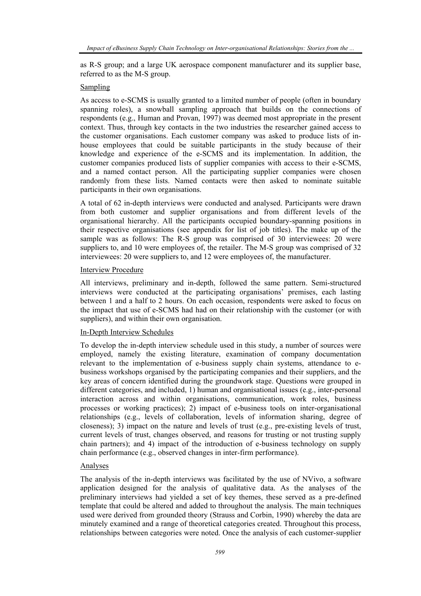as R-S group; and a large UK aerospace component manufacturer and its supplier base, referred to as the M-S group.

#### Sampling

As access to e-SCMS is usually granted to a limited number of people (often in boundary spanning roles), a snowball sampling approach that builds on the connections of respondents (e.g., Human and Provan, 1997) was deemed most appropriate in the present context. Thus, through key contacts in the two industries the researcher gained access to the customer organisations. Each customer company was asked to produce lists of inhouse employees that could be suitable participants in the study because of their knowledge and experience of the e-SCMS and its implementation. In addition, the customer companies produced lists of supplier companies with access to their e-SCMS, and a named contact person. All the participating supplier companies were chosen randomly from these lists. Named contacts were then asked to nominate suitable participants in their own organisations.

A total of 62 in-depth interviews were conducted and analysed. Participants were drawn from both customer and supplier organisations and from different levels of the organisational hierarchy. All the participants occupied boundary-spanning positions in their respective organisations (see appendix for list of job titles). The make up of the sample was as follows: The R-S group was comprised of 30 interviewees: 20 were suppliers to, and 10 were employees of, the retailer. The M-S group was comprised of 32 interviewees: 20 were suppliers to, and 12 were employees of, the manufacturer.

#### Interview Procedure

All interviews, preliminary and in-depth, followed the same pattern. Semi-structured interviews were conducted at the participating organisations' premises, each lasting between 1 and a half to 2 hours. On each occasion, respondents were asked to focus on the impact that use of e-SCMS had had on their relationship with the customer (or with suppliers), and within their own organisation.

## In-Depth Interview Schedules

To develop the in-depth interview schedule used in this study, a number of sources were employed, namely the existing literature, examination of company documentation relevant to the implementation of e-business supply chain systems, attendance to ebusiness workshops organised by the participating companies and their suppliers, and the key areas of concern identified during the groundwork stage. Questions were grouped in different categories, and included, 1) human and organisational issues (e.g., inter-personal interaction across and within organisations, communication, work roles, business processes or working practices); 2) impact of e-business tools on inter-organisational relationships (e.g., levels of collaboration, levels of information sharing, degree of closeness); 3) impact on the nature and levels of trust (e.g., pre-existing levels of trust, current levels of trust, changes observed, and reasons for trusting or not trusting supply chain partners); and 4) impact of the introduction of e-business technology on supply chain performance (e.g., observed changes in inter-firm performance).

#### Analyses

The analysis of the in-depth interviews was facilitated by the use of NVivo, a software application designed for the analysis of qualitative data. As the analyses of the preliminary interviews had yielded a set of key themes, these served as a pre-defined template that could be altered and added to throughout the analysis. The main techniques used were derived from grounded theory (Strauss and Corbin, 1990) whereby the data are minutely examined and a range of theoretical categories created. Throughout this process, relationships between categories were noted. Once the analysis of each customer-supplier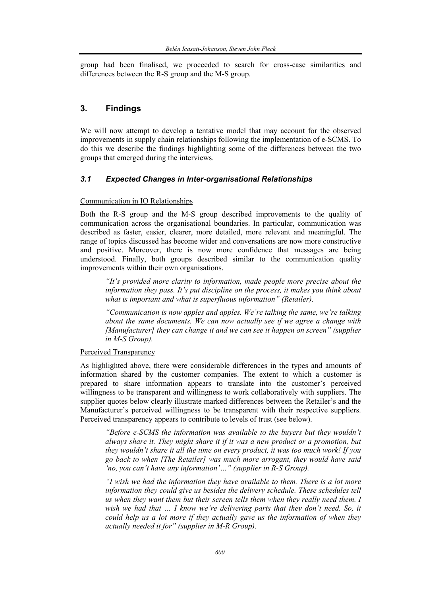group had been finalised, we proceeded to search for cross-case similarities and differences between the R-S group and the M-S group.

# **3. Findings**

We will now attempt to develop a tentative model that may account for the observed improvements in supply chain relationships following the implementation of e-SCMS. To do this we describe the findings highlighting some of the differences between the two groups that emerged during the interviews.

## *3.1 Expected Changes in Inter-organisational Relationships*

## Communication in IO Relationships

Both the R-S group and the M-S group described improvements to the quality of communication across the organisational boundaries. In particular, communication was described as faster, easier, clearer, more detailed, more relevant and meaningful. The range of topics discussed has become wider and conversations are now more constructive and positive. Moreover, there is now more confidence that messages are being understood. Finally, both groups described similar to the communication quality improvements within their own organisations.

*"It's provided more clarity to information, made people more precise about the information they pass. It's put discipline on the process, it makes you think about what is important and what is superfluous information" (Retailer).* 

*"Communication is now apples and apples. We're talking the same, we're talking about the same documents. We can now actually see if we agree a change with [Manufacturer] they can change it and we can see it happen on screen" (supplier in M-S Group).* 

## Perceived Transparency

As highlighted above, there were considerable differences in the types and amounts of information shared by the customer companies. The extent to which a customer is prepared to share information appears to translate into the customer's perceived willingness to be transparent and willingness to work collaboratively with suppliers. The supplier quotes below clearly illustrate marked differences between the Retailer's and the Manufacturer's perceived willingness to be transparent with their respective suppliers. Perceived transparency appears to contribute to levels of trust (see below).

*"Before e-SCMS the information was available to the buyers but they wouldn't always share it. They might share it if it was a new product or a promotion, but they wouldn't share it all the time on every product, it was too much work! If you go back to when [The Retailer] was much more arrogant, they would have said 'no, you can't have any information'…" (supplier in R-S Group).* 

*"I wish we had the information they have available to them. There is a lot more information they could give us besides the delivery schedule. These schedules tell us when they want them but their screen tells them when they really need them. I wish we had that … I know we're delivering parts that they don't need. So, it could help us a lot more if they actually gave us the information of when they actually needed it for" (supplier in M-R Group).*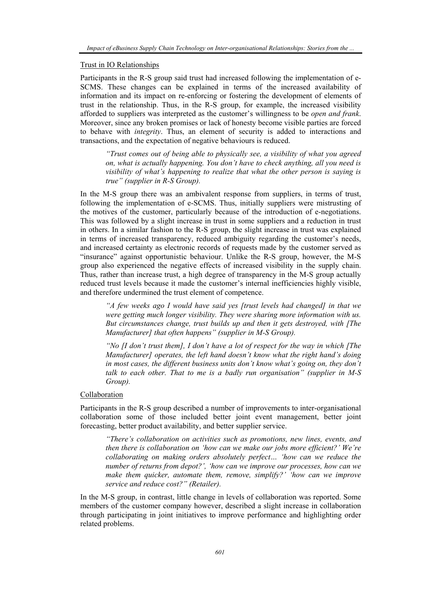#### Trust in IO Relationships

Participants in the R-S group said trust had increased following the implementation of e-SCMS. These changes can be explained in terms of the increased availability of information and its impact on re-enforcing or fostering the development of elements of trust in the relationship. Thus, in the R-S group, for example, the increased visibility afforded to suppliers was interpreted as the customer's willingness to be *open and frank*. Moreover, since any broken promises or lack of honesty become visible parties are forced to behave with *integrity*. Thus, an element of security is added to interactions and transactions, and the expectation of negative behaviours is reduced.

*"Trust comes out of being able to physically see, a visibility of what you agreed on, what is actually happening. You don't have to check anything, all you need is visibility of what's happening to realize that what the other person is saying is true" (supplier in R-S Group).* 

In the M-S group there was an ambivalent response from suppliers, in terms of trust, following the implementation of e-SCMS. Thus, initially suppliers were mistrusting of the motives of the customer, particularly because of the introduction of e-negotiations. This was followed by a slight increase in trust in some suppliers and a reduction in trust in others. In a similar fashion to the R-S group, the slight increase in trust was explained in terms of increased transparency, reduced ambiguity regarding the customer's needs, and increased certainty as electronic records of requests made by the customer served as "insurance" against opportunistic behaviour. Unlike the R-S group, however, the M-S group also experienced the negative effects of increased visibility in the supply chain. Thus, rather than increase trust, a high degree of transparency in the M-S group actually reduced trust levels because it made the customer's internal inefficiencies highly visible, and therefore undermined the trust element of competence.

*"A few weeks ago I would have said yes [trust levels had changed] in that we were getting much longer visibility. They were sharing more information with us. But circumstances change, trust builds up and then it gets destroyed, with [The Manufacturer] that often happens" (supplier in M-S Group).* 

*"No [I don't trust them], I don't have a lot of respect for the way in which [The Manufacturer] operates, the left hand doesn't know what the right hand's doing in most cases, the different business units don't know what's going on, they don't talk to each other. That to me is a badly run organisation" (supplier in M-S Group).* 

#### Collaboration

Participants in the R-S group described a number of improvements to inter-organisational collaboration some of those included better joint event management, better joint forecasting, better product availability, and better supplier service.

*"There's collaboration on activities such as promotions, new lines, events, and then there is collaboration on 'how can we make our jobs more efficient?' We're collaborating on making orders absolutely perfect… 'how can we reduce the number of returns from depot?', 'how can we improve our processes, how can we make them quicker, automate them, remove, simplify?' 'how can we improve service and reduce cost?" (Retailer).* 

In the M-S group, in contrast, little change in levels of collaboration was reported. Some members of the customer company however, described a slight increase in collaboration through participating in joint initiatives to improve performance and highlighting order related problems.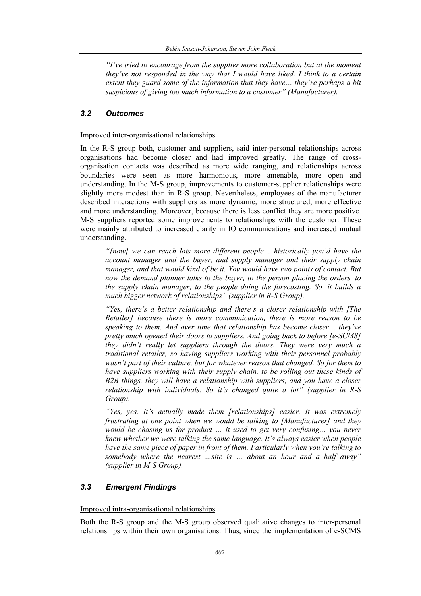*"I've tried to encourage from the supplier more collaboration but at the moment they've not responded in the way that I would have liked. I think to a certain extent they guard some of the information that they have… they're perhaps a bit suspicious of giving too much information to a customer" (Manufacturer).* 

## *3.2 Outcomes*

#### Improved inter-organisational relationships

In the R-S group both, customer and suppliers, said inter-personal relationships across organisations had become closer and had improved greatly. The range of crossorganisation contacts was described as more wide ranging, and relationships across boundaries were seen as more harmonious, more amenable, more open and understanding. In the M-S group, improvements to customer-supplier relationships were slightly more modest than in R-S group. Nevertheless, employees of the manufacturer described interactions with suppliers as more dynamic, more structured, more effective and more understanding. Moreover, because there is less conflict they are more positive. M-S suppliers reported some improvements to relationships with the customer. These were mainly attributed to increased clarity in IO communications and increased mutual understanding.

*"[now] we can reach lots more different people… historically you'd have the account manager and the buyer, and supply manager and their supply chain manager, and that would kind of be it. You would have two points of contact. But now the demand planner talks to the buyer, to the person placing the orders, to the supply chain manager, to the people doing the forecasting. So, it builds a much bigger network of relationships" (supplier in R-S Group).* 

*"Yes, there's a better relationship and there's a closer relationship with [The Retailer] because there is more communication, there is more reason to be speaking to them. And over time that relationship has become closer… they've pretty much opened their doors to suppliers. And going back to before [e-SCMS] they didn't really let suppliers through the doors. They were very much a traditional retailer, so having suppliers working with their personnel probably wasn't part of their culture, but for whatever reason that changed. So for them to have suppliers working with their supply chain, to be rolling out these kinds of B2B things, they will have a relationship with suppliers, and you have a closer relationship with individuals. So it's changed quite a lot" (supplier in R-S Group).* 

*"Yes, yes. It's actually made them [relationships] easier. It was extremely frustrating at one point when we would be talking to [Manufacturer] and they would be chasing us for product … it used to get very confusing… you never knew whether we were talking the same language. It's always easier when people have the same piece of paper in front of them. Particularly when you're talking to somebody where the nearest …site is … about an hour and a half away" (supplier in M-S Group).* 

## *3.3 Emergent Findings*

## Improved intra-organisational relationships

Both the R-S group and the M-S group observed qualitative changes to inter-personal relationships within their own organisations. Thus, since the implementation of e-SCMS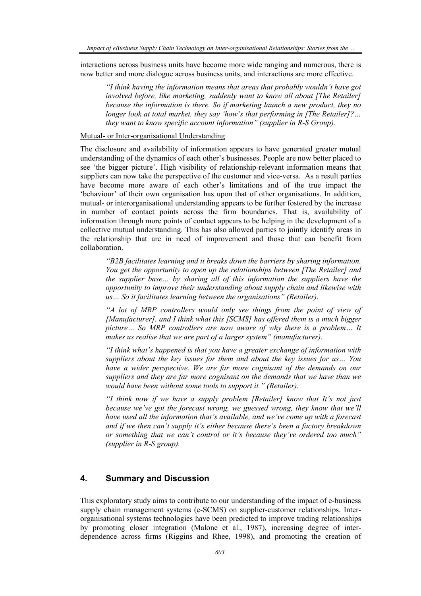interactions across business units have become more wide ranging and numerous, there is now better and more dialogue across business units, and interactions are more effective.

*"I think having the information means that areas that probably wouldn't have got involved before, like marketing, suddenly want to know all about [The Retailer] because the information is there. So if marketing launch a new product, they no longer look at total market, they say 'how's that performing in [The Retailer]?… they want to know specific account information" (supplier in R-S Group).* 

#### Mutual- or Inter-organisational Understanding

The disclosure and availability of information appears to have generated greater mutual understanding of the dynamics of each other's businesses. People are now better placed to see 'the bigger picture'. High visibility of relationship-relevant information means that suppliers can now take the perspective of the customer and vice-versa. As a result parties have become more aware of each other's limitations and of the true impact the 'behaviour' of their own organisation has upon that of other organisations. In addition, mutual- or interorganisational understanding appears to be further fostered by the increase in number of contact points across the firm boundaries. That is, availability of information through more points of contact appears to be helping in the development of a collective mutual understanding. This has also allowed parties to jointly identify areas in the relationship that are in need of improvement and those that can benefit from collaboration.

*"B2B facilitates learning and it breaks down the barriers by sharing information. You get the opportunity to open up the relationships between [The Retailer] and the supplier base… by sharing all of this information the suppliers have the opportunity to improve their understanding about supply chain and likewise with us… So it facilitates learning between the organisations" (Retailer).* 

*"A lot of MRP controllers would only see things from the point of view of [Manufacturer], and I think what this [SCMS] has offered them is a much bigger picture… So MRP controllers are now aware of why there is a problem… It makes us realise that we are part of a larger system" (manufacturer).* 

*"I think what's happened is that you have a greater exchange of information with suppliers about the key issues for them and about the key issues for us… You have a wider perspective. We are far more cognisant of the demands on our suppliers and they are far more cognisant on the demands that we have than we would have been without some tools to support it." (Retailer).* 

*"I think now if we have a supply problem [Retailer] know that It's not just because we've got the forecast wrong, we guessed wrong, they know that we'll have used all the information that's available, and we've come up with a forecast and if we then can't supply it's either because there's been a factory breakdown or something that we can't control or it's because they've ordered too much" (supplier in R-S group).* 

## **4. Summary and Discussion**

This exploratory study aims to contribute to our understanding of the impact of e-business supply chain management systems (e-SCMS) on supplier-customer relationships. Interorganisational systems technologies have been predicted to improve trading relationships by promoting closer integration (Malone et al., 1987), increasing degree of interdependence across firms (Riggins and Rhee, 1998), and promoting the creation of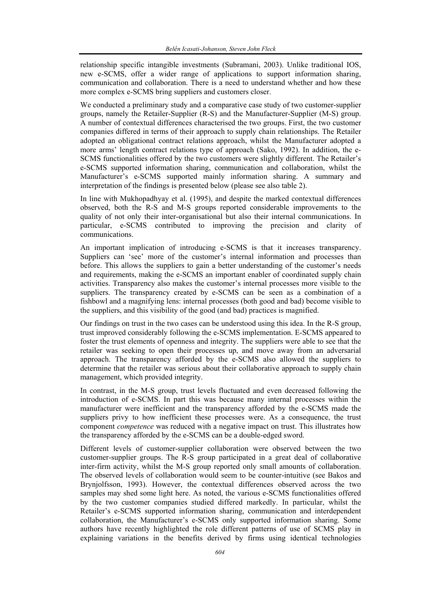relationship specific intangible investments (Subramani, 2003). Unlike traditional IOS, new e-SCMS, offer a wider range of applications to support information sharing, communication and collaboration. There is a need to understand whether and how these more complex e-SCMS bring suppliers and customers closer.

We conducted a preliminary study and a comparative case study of two customer-supplier groups, namely the Retailer-Supplier (R-S) and the Manufacturer-Supplier (M-S) group. A number of contextual differences characterised the two groups. First, the two customer companies differed in terms of their approach to supply chain relationships. The Retailer adopted an obligational contract relations approach, whilst the Manufacturer adopted a more arms' length contract relations type of approach (Sako, 1992). In addition, the e-SCMS functionalities offered by the two customers were slightly different. The Retailer's e-SCMS supported information sharing, communication and collaboration, whilst the Manufacturer's e-SCMS supported mainly information sharing. A summary and interpretation of the findings is presented below (please see also table 2).

In line with Mukhopadhyay et al. (1995), and despite the marked contextual differences observed, both the R-S and M-S groups reported considerable improvements to the quality of not only their inter-organisational but also their internal communications. In particular, e-SCMS contributed to improving the precision and clarity of communications.

An important implication of introducing e-SCMS is that it increases transparency. Suppliers can 'see' more of the customer's internal information and processes than before. This allows the suppliers to gain a better understanding of the customer's needs and requirements, making the e-SCMS an important enabler of coordinated supply chain activities. Transparency also makes the customer's internal processes more visible to the suppliers. The transparency created by e-SCMS can be seen as a combination of a fishbowl and a magnifying lens: internal processes (both good and bad) become visible to the suppliers, and this visibility of the good (and bad) practices is magnified.

Our findings on trust in the two cases can be understood using this idea. In the R-S group, trust improved considerably following the e-SCMS implementation. E-SCMS appeared to foster the trust elements of openness and integrity. The suppliers were able to see that the retailer was seeking to open their processes up, and move away from an adversarial approach. The transparency afforded by the e-SCMS also allowed the suppliers to determine that the retailer was serious about their collaborative approach to supply chain management, which provided integrity.

In contrast, in the M-S group, trust levels fluctuated and even decreased following the introduction of e-SCMS. In part this was because many internal processes within the manufacturer were inefficient and the transparency afforded by the e-SCMS made the suppliers privy to how inefficient these processes were. As a consequence, the trust component *competence* was reduced with a negative impact on trust. This illustrates how the transparency afforded by the e-SCMS can be a double-edged sword.

Different levels of customer-supplier collaboration were observed between the two customer-supplier groups. The R-S group participated in a great deal of collaborative inter-firm activity, whilst the M-S group reported only small amounts of collaboration. The observed levels of collaboration would seem to be counter-intuitive (see Bakos and Brynjolfsson, 1993). However, the contextual differences observed across the two samples may shed some light here. As noted, the various e-SCMS functionalities offered by the two customer companies studied differed markedly. In particular, whilst the Retailer's e-SCMS supported information sharing, communication and interdependent collaboration, the Manufacturer's e-SCMS only supported information sharing. Some authors have recently highlighted the role different patterns of use of SCMS play in explaining variations in the benefits derived by firms using identical technologies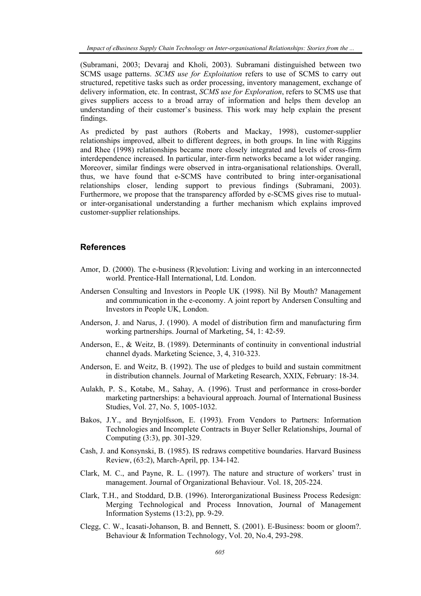*Impact of eBusiness Supply Chain Technology on Inter-organisational Relationships: Stories from the ...* 

(Subramani, 2003; Devaraj and Kholi, 2003). Subramani distinguished between two SCMS usage patterns. *SCMS use for Exploitation* refers to use of SCMS to carry out structured, repetitive tasks such as order processing, inventory management, exchange of delivery information, etc. In contrast, *SCMS use for Exploration*, refers to SCMS use that gives suppliers access to a broad array of information and helps them develop an understanding of their customer's business. This work may help explain the present findings.

As predicted by past authors (Roberts and Mackay, 1998), customer-supplier relationships improved, albeit to different degrees, in both groups. In line with Riggins and Rhee (1998) relationships became more closely integrated and levels of cross-firm interdependence increased. In particular, inter-firm networks became a lot wider ranging. Moreover, similar findings were observed in intra-organisational relationships. Overall, thus, we have found that e-SCMS have contributed to bring inter-organisational relationships closer, lending support to previous findings (Subramani, 2003). Furthermore, we propose that the transparency afforded by e-SCMS gives rise to mutualor inter-organisational understanding a further mechanism which explains improved customer-supplier relationships.

#### **References**

- Amor, D. (2000). The e-business (R)evolution: Living and working in an interconnected world. Prentice-Hall International, Ltd. London.
- Andersen Consulting and Investors in People UK (1998). Nil By Mouth? Management and communication in the e-economy. A joint report by Andersen Consulting and Investors in People UK, London.
- Anderson, J. and Narus, J. (1990). A model of distribution firm and manufacturing firm working partnerships. Journal of Marketing, 54, 1: 42-59.
- Anderson, E., & Weitz, B. (1989). Determinants of continuity in conventional industrial channel dyads. Marketing Science, 3, 4, 310-323.
- Anderson, E. and Weitz, B. (1992). The use of pledges to build and sustain commitment in distribution channels. Journal of Marketing Research, XXIX, February: 18-34.
- Aulakh, P. S., Kotabe, M., Sahay, A. (1996). Trust and performance in cross-border marketing partnerships: a behavioural approach. Journal of International Business Studies, Vol. 27, No. 5, 1005-1032.
- Bakos, J.Y., and Brynjolfsson, E. (1993). From Vendors to Partners: Information Technologies and Incomplete Contracts in Buyer Seller Relationships, Journal of Computing (3:3), pp. 301-329.
- Cash, J. and Konsynski, B. (1985). IS redraws competitive boundaries. Harvard Business Review, (63:2), March-April, pp. 134-142.
- Clark, M. C., and Payne, R. L. (1997). The nature and structure of workers' trust in management. Journal of Organizational Behaviour. Vol. 18, 205-224.
- Clark, T.H., and Stoddard, D.B. (1996). Interorganizational Business Process Redesign: Merging Technological and Process Innovation, Journal of Management Information Systems (13:2), pp. 9-29.
- Clegg, C. W., Icasati-Johanson, B. and Bennett, S. (2001). E-Business: boom or gloom?. Behaviour & Information Technology, Vol. 20, No.4, 293-298.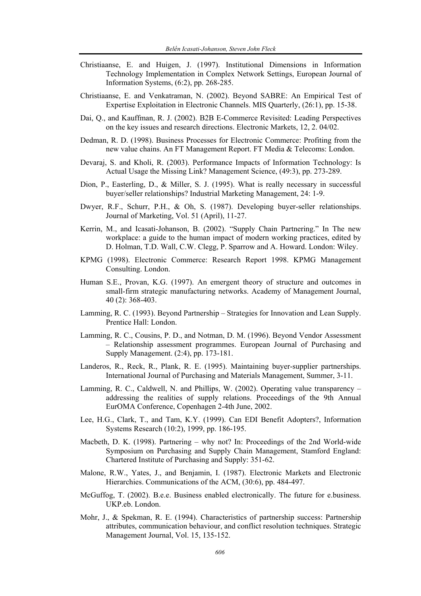- Christiaanse, E. and Huigen, J. (1997). Institutional Dimensions in Information Technology Implementation in Complex Network Settings, European Journal of Information Systems, (6:2), pp. 268-285.
- Christiaanse, E. and Venkatraman, N. (2002). Beyond SABRE: An Empirical Test of Expertise Exploitation in Electronic Channels. MIS Quarterly, (26:1), pp. 15-38.
- Dai, Q., and Kauffman, R. J. (2002). B2B E-Commerce Revisited: Leading Perspectives on the key issues and research directions. Electronic Markets, 12, 2. 04/02.
- Dedman, R. D. (1998). Business Processes for Electronic Commerce: Profiting from the new value chains. An FT Management Report. FT Media & Telecoms: London.
- Devaraj, S. and Kholi, R. (2003). Performance Impacts of Information Technology: Is Actual Usage the Missing Link? Management Science, (49:3), pp. 273-289.
- Dion, P., Easterling, D., & Miller, S. J. (1995). What is really necessary in successful buyer/seller relationships? Industrial Marketing Management, 24: 1-9.
- Dwyer, R.F., Schurr, P.H., & Oh, S. (1987). Developing buyer-seller relationships. Journal of Marketing, Vol. 51 (April), 11-27.
- Kerrin, M., and Icasati-Johanson, B. (2002). "Supply Chain Partnering." In The new workplace: a guide to the human impact of modern working practices, edited by D. Holman, T.D. Wall, C.W. Clegg, P. Sparrow and A. Howard. London: Wiley.
- KPMG (1998). Electronic Commerce: Research Report 1998. KPMG Management Consulting. London.
- Human S.E., Provan, K.G. (1997). An emergent theory of structure and outcomes in small-firm strategic manufacturing networks. Academy of Management Journal, 40 (2): 368-403.
- Lamming, R. C. (1993). Beyond Partnership Strategies for Innovation and Lean Supply. Prentice Hall: London.
- Lamming, R. C., Cousins, P. D., and Notman, D. M. (1996). Beyond Vendor Assessment – Relationship assessment programmes. European Journal of Purchasing and Supply Management. (2:4), pp. 173-181.
- Landeros, R., Reck, R., Plank, R. E. (1995). Maintaining buyer-supplier partnerships. International Journal of Purchasing and Materials Management, Summer, 3-11.
- Lamming, R. C., Caldwell, N. and Phillips, W. (2002). Operating value transparency addressing the realities of supply relations. Proceedings of the 9th Annual EurOMA Conference, Copenhagen 2-4th June, 2002.
- Lee, H.G., Clark, T., and Tam, K.Y. (1999). Can EDI Benefit Adopters?, Information Systems Research (10:2), 1999, pp. 186-195.
- Macbeth, D. K. (1998). Partnering why not? In: Proceedings of the 2nd World-wide Symposium on Purchasing and Supply Chain Management, Stamford England: Chartered Institute of Purchasing and Supply: 351-62.
- Malone, R.W., Yates, J., and Benjamin, I. (1987). Electronic Markets and Electronic Hierarchies. Communications of the ACM, (30:6), pp. 484-497.
- McGuffog, T. (2002). B.e.e. Business enabled electronically. The future for e.business. UKP.eb. London.
- Mohr, J., & Spekman, R. E. (1994). Characteristics of partnership success: Partnership attributes, communication behaviour, and conflict resolution techniques. Strategic Management Journal, Vol. 15, 135-152.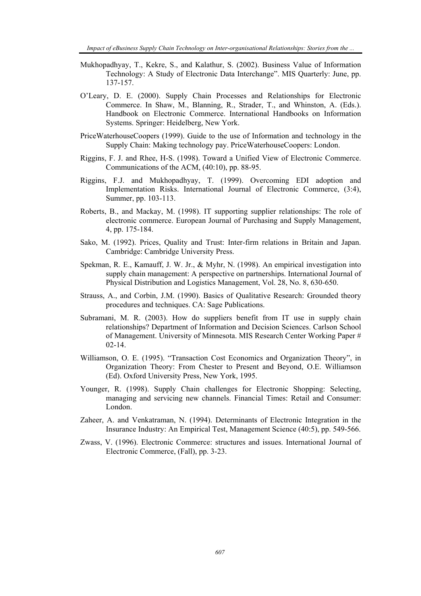- Mukhopadhyay, T., Kekre, S., and Kalathur, S. (2002). Business Value of Information Technology: A Study of Electronic Data Interchange". MIS Quarterly: June, pp. 137-157.
- O'Leary, D. E. (2000). Supply Chain Processes and Relationships for Electronic Commerce. In Shaw, M., Blanning, R., Strader, T., and Whinston, A. (Eds.). Handbook on Electronic Commerce. International Handbooks on Information Systems. Springer: Heidelberg, New York.
- PriceWaterhouseCoopers (1999). Guide to the use of Information and technology in the Supply Chain: Making technology pay. PriceWaterhouseCoopers: London.
- Riggins, F. J. and Rhee, H-S. (1998). Toward a Unified View of Electronic Commerce. Communications of the ACM, (40:10), pp. 88-95.
- Riggins, F.J. and Mukhopadhyay, T. (1999). Overcoming EDI adoption and Implementation Risks. International Journal of Electronic Commerce, (3:4), Summer, pp. 103-113.
- Roberts, B., and Mackay, M. (1998). IT supporting supplier relationships: The role of electronic commerce. European Journal of Purchasing and Supply Management, 4, pp. 175-184.
- Sako, M. (1992). Prices, Quality and Trust: Inter-firm relations in Britain and Japan. Cambridge: Cambridge University Press.
- Spekman, R. E., Kamauff, J. W. Jr., & Myhr, N. (1998). An empirical investigation into supply chain management: A perspective on partnerships. International Journal of Physical Distribution and Logistics Management, Vol. 28, No. 8, 630-650.
- Strauss, A., and Corbin, J.M. (1990). Basics of Qualitative Research: Grounded theory procedures and techniques. CA: Sage Publications.
- Subramani, M. R. (2003). How do suppliers benefit from IT use in supply chain relationships? Department of Information and Decision Sciences. Carlson School of Management. University of Minnesota. MIS Research Center Working Paper # 02-14.
- Williamson, O. E. (1995). "Transaction Cost Economics and Organization Theory", in Organization Theory: From Chester to Present and Beyond, O.E. Williamson (Ed). Oxford University Press, New York, 1995.
- Younger, R. (1998). Supply Chain challenges for Electronic Shopping: Selecting, managing and servicing new channels. Financial Times: Retail and Consumer: London.
- Zaheer, A. and Venkatraman, N. (1994). Determinants of Electronic Integration in the Insurance Industry: An Empirical Test, Management Science (40:5), pp. 549-566.
- Zwass, V. (1996). Electronic Commerce: structures and issues. International Journal of Electronic Commerce, (Fall), pp. 3-23.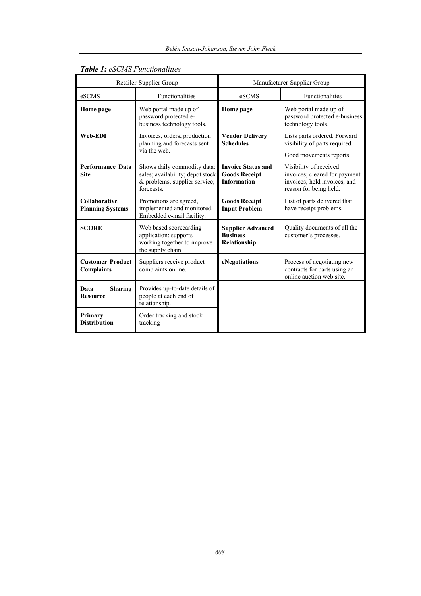| Retailer-Supplier Group                      |                                                                                                                | Manufacturer-Supplier Group                                             |                                                                                                                   |
|----------------------------------------------|----------------------------------------------------------------------------------------------------------------|-------------------------------------------------------------------------|-------------------------------------------------------------------------------------------------------------------|
| eSCMS                                        | Functionalities                                                                                                | eSCMS                                                                   | Functionalities                                                                                                   |
| Home page                                    | Web portal made up of<br>password protected e-<br>business technology tools.                                   | Home page                                                               | Web portal made up of<br>password protected e-business<br>technology tools.                                       |
| Web-EDI                                      | Invoices, orders, production<br>planning and forecasts sent<br>via the web.                                    | <b>Vendor Delivery</b><br><b>Schedules</b>                              | Lists parts ordered. Forward<br>visibility of parts required.<br>Good movements reports.                          |
| <b>Performance Data</b><br><b>Site</b>       | Shows daily commodity data:<br>sales; availability; depot stock<br>& problems, supplier service;<br>forecasts. | <b>Invoice Status and</b><br><b>Goods Receipt</b><br><b>Information</b> | Visibility of received<br>invoices; cleared for payment<br>invoices; held invoices, and<br>reason for being held. |
| Collaborative<br><b>Planning Systems</b>     | Promotions are agreed,<br>implemented and monitored.<br>Embedded e-mail facility.                              | <b>Goods Receipt</b><br><b>Input Problem</b>                            | List of parts delivered that<br>have receipt problems.                                                            |
| <b>SCORE</b>                                 | Web based scorecarding<br>application: supports<br>working together to improve<br>the supply chain.            | <b>Supplier Advanced</b><br><b>Business</b><br>Relationship             | Quality documents of all the<br>customer's processes.                                                             |
| <b>Customer Product</b><br><b>Complaints</b> | Suppliers receive product<br>complaints online.                                                                | eNegotiations                                                           | Process of negotiating new<br>contracts for parts using an<br>online auction web site.                            |
| Data<br><b>Sharing</b><br><b>Resource</b>    | Provides up-to-date details of<br>people at each end of<br>relationship.                                       |                                                                         |                                                                                                                   |
| Primary<br><b>Distribution</b>               | Order tracking and stock<br>tracking                                                                           |                                                                         |                                                                                                                   |

## *Table 1: eSCMS Functionalities*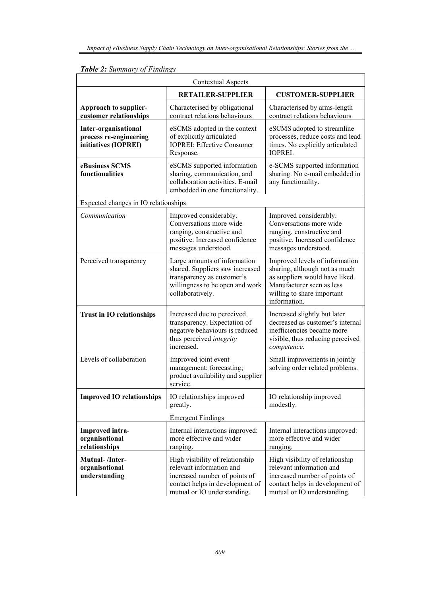| <b>Contextual Aspects</b>                                                     |                                                                                                                                                                |                                                                                                                                                                              |  |  |
|-------------------------------------------------------------------------------|----------------------------------------------------------------------------------------------------------------------------------------------------------------|------------------------------------------------------------------------------------------------------------------------------------------------------------------------------|--|--|
|                                                                               | <b>RETAILER-SUPPLIER</b>                                                                                                                                       | <b>CUSTOMER-SUPPLIER</b>                                                                                                                                                     |  |  |
| Approach to supplier-<br>customer relationships                               | Characterised by obligational<br>contract relations behaviours                                                                                                 | Characterised by arms-length<br>contract relations behaviours                                                                                                                |  |  |
| <b>Inter-organisational</b><br>process re-engineering<br>initiatives (IOPREI) | eSCMS adopted in the context<br>of explicitly articulated<br><b>IOPREI: Effective Consumer</b><br>Response.                                                    | eSCMS adopted to streamline<br>processes, reduce costs and lead<br>times. No explicitly articulated<br><b>IOPREI.</b>                                                        |  |  |
| eBusiness SCMS<br>functionalities                                             | eSCMS supported information<br>sharing, communication, and<br>collaboration activities. E-mail<br>embedded in one functionality.                               | e-SCMS supported information<br>sharing. No e-mail embedded in<br>any functionality.                                                                                         |  |  |
| Expected changes in IO relationships                                          |                                                                                                                                                                |                                                                                                                                                                              |  |  |
| Communication                                                                 | Improved considerably.<br>Conversations more wide<br>ranging, constructive and<br>positive. Increased confidence<br>messages understood.                       | Improved considerably.<br>Conversations more wide<br>ranging, constructive and<br>positive. Increased confidence<br>messages understood.                                     |  |  |
| Perceived transparency                                                        | Large amounts of information<br>shared. Suppliers saw increased<br>transparency as customer's<br>willingness to be open and work<br>collaboratively.           | Improved levels of information<br>sharing, although not as much<br>as suppliers would have liked.<br>Manufacturer seen as less<br>willing to share important<br>information. |  |  |
| <b>Trust in IO relationships</b>                                              | Increased due to perceived<br>transparency. Expectation of<br>negative behaviours is reduced<br>thus perceived integrity<br>increased.                         | Increased slightly but later<br>decreased as customer's internal<br>inefficiencies became more<br>visible, thus reducing perceived<br>competence.                            |  |  |
| Levels of collaboration                                                       | Improved joint event<br>management; forecasting;<br>product availability and supplier<br>service.                                                              | Small improvements in jointly<br>solving order related problems.                                                                                                             |  |  |
| <b>Improved IO relationships</b>                                              | IO relationships improved<br>greatly.                                                                                                                          | IO relationship improved<br>modestly.                                                                                                                                        |  |  |
|                                                                               | <b>Emergent Findings</b>                                                                                                                                       |                                                                                                                                                                              |  |  |
| Improved intra-<br>organisational<br>relationships                            | Internal interactions improved:<br>more effective and wider<br>ranging.                                                                                        | Internal interactions improved:<br>more effective and wider<br>ranging.                                                                                                      |  |  |
| Mutual-/Inter-<br>organisational<br>understanding                             | High visibility of relationship<br>relevant information and<br>increased number of points of<br>contact helps in development of<br>mutual or IO understanding. | High visibility of relationship<br>relevant information and<br>increased number of points of<br>contact helps in development of<br>mutual or IO understanding.               |  |  |

# *Table 2: Summary of Findings*